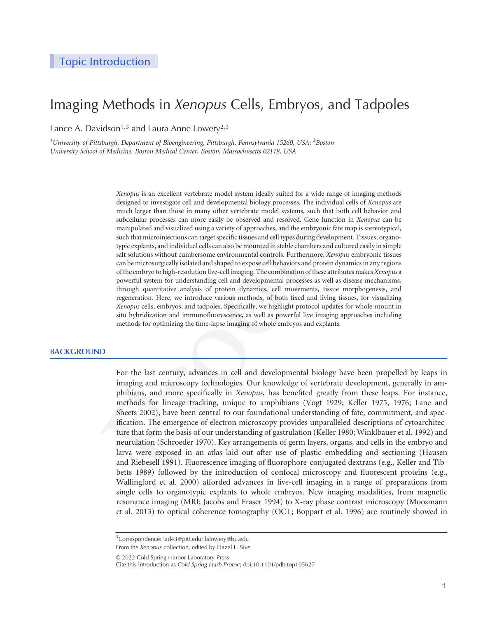# Imaging Methods in Xenopus Cells, Embryos, and Tadpoles

Lance A. Davidson<sup>1,3</sup> and Laura Anne Lowery<sup>2,3</sup>

<sup>1</sup>University of Pittsburgh, Department of Bioengineering, Pittsburgh, Pennsylvania 15260, USA; <sup>2</sup>Boston University School of Medicine, Boston Medical Center, Boston, Massachusetts 02118, USA

> Xenopus is an excellent vertebrate model system ideally suited for a wide range of imaging methods designed to investigate cell and developmental biology processes. The individual cells of Xenopus are much larger than those in many other vertebrate model systems, such that both cell behavior and subcellular processes can more easily be observed and resolved. Gene function in Xenopus can be manipulated and visualized using a variety of approaches, and the embryonic fate map is stereotypical, such that microinjections can target specific tissues and cell types during development. Tissues, organotypic explants, and individual cells can also be mounted in stable chambers and cultured easily in simple salt solutions without cumbersome environmental controls. Furthermore, Xenopus embryonic tissues can be microsurgically isolated and shaped to expose cell behaviors and protein dynamics in any regions of the embryo to high-resolution live-cell imaging. The combination of these attributes makes Xenopus a powerful system for understanding cell and developmental processes as well as disease mechanisms, through quantitative analysis of protein dynamics, cell movements, tissue morphogenesis, and regeneration. Here, we introduce various methods, of both fixed and living tissues, for visualizing Xenopus cells, embryos, and tadpoles. Specifically, we highlight protocol updates for whole-mount in situ hybridization and immunofluorescence, as well as powerful live imaging approaches including methods for optimizing the time-lapse imaging of whole embryos and explants.

#### BACKGROUND

For the last century, advances in cell and developmental biology have been propelled by leaps in imaging and microscopy technologies. Our knowledge of vertebrate development, generally in amphibians, and more specifically in Xenopus, has benefited greatly from these leaps. For instance, methods for lineage tracking, unique to amphibians (Vogt 1929; Keller 1975, 1976; Lane and Sheets 2002), have been central to our foundational understanding of fate, commitment, and specification. The emergence of electron microscopy provides unparalleled descriptions of cytoarchitecture that form the basis of our understanding of gastrulation (Keller 1980; Winklbauer et al. 1992) and neurulation (Schroeder 1970). Key arrangements of germ layers, organs, and cells in the embryo and larva were exposed in an atlas laid out after use of plastic embedding and sectioning (Hausen and Riebesell 1991). Fluorescence imaging of fluorophore-conjugated dextrans (e.g., Keller and Tibbetts 1989) followed by the introduction of confocal microscopy and fluorescent proteins (e.g., Wallingford et al. 2000) afforded advances in live-cell imaging in a range of preparations from single cells to organotypic explants to whole embryos. New imaging modalities, from magnetic resonance imaging (MRI; Jacobs and Fraser 1994) to X-ray phase contrast microscopy (Moosmann et al. 2013) to optical coherence tomography (OCT; Boppart et al. 1996) are routinely showed in

[© 2022 Cold Spring Harbor Laboratory Press](http://cshprotocols.cshlp.org/site/misc/terms.xhtml)

<sup>&</sup>lt;sup>3</sup>Correspondence: [lad43@pitt.edu](mailto:lad43@pitt.edu); [lalowery@bu.edu](mailto:lalowery@bu.edu)

From the Xenopus collection, edited by Hazel L. Sive

Cite this introduction as Cold Spring Harb Protoc; doi:10.1101/pdb.top105627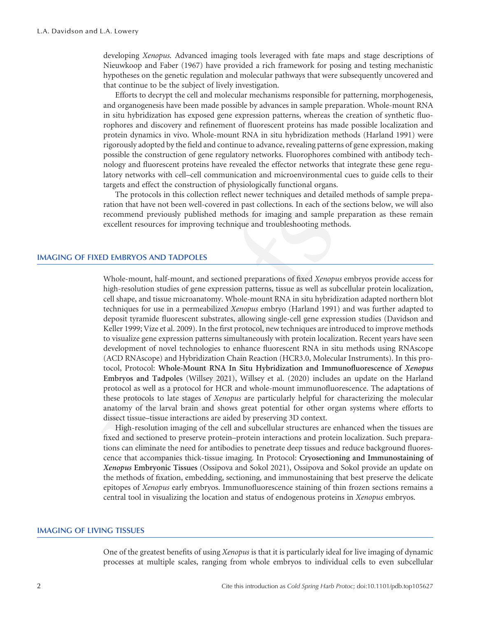developing Xenopus. Advanced imaging tools leveraged with fate maps and stage descriptions of Nieuwkoop and Faber (1967) have provided a rich framework for posing and testing mechanistic hypotheses on the genetic regulation and molecular pathways that were subsequently uncovered and that continue to be the subject of lively investigation.

Efforts to decrypt the cell and molecular mechanisms responsible for patterning, morphogenesis, and organogenesis have been made possible by advances in sample preparation. Whole-mount RNA in situ hybridization has exposed gene expression patterns, whereas the creation of synthetic fluorophores and discovery and refinement of fluorescent proteins has made possible localization and protein dynamics in vivo. Whole-mount RNA in situ hybridization methods (Harland 1991) were rigorously adopted by the field and continue to advance, revealing patterns of gene expression, making possible the construction of gene regulatory networks. Fluorophores combined with antibody technology and fluorescent proteins have revealed the effector networks that integrate these gene regulatory networks with cell–cell communication and microenvironmental cues to guide cells to their targets and effect the construction of physiologically functional organs.

The protocols in this collection reflect newer techniques and detailed methods of sample preparation that have not been well-covered in past collections. In each of the sections below, we will also recommend previously published methods for imaging and sample preparation as these remain excellent resources for improving technique and troubleshooting methods.

## IMAGING OF FIXED EMBRYOS AND TADPOLES

Whole-mount, half-mount, and sectioned preparations of fixed Xenopus embryos provide access for high-resolution studies of gene expression patterns, tissue as well as subcellular protein localization, cell shape, and tissue microanatomy. Whole-mount RNA in situ hybridization adapted northern blot techniques for use in a permeabilized Xenopus embryo (Harland 1991) and was further adapted to deposit tyramide fluorescent substrates, allowing single-cell gene expression studies (Davidson and Keller 1999; Vize et al. 2009). In the first protocol, new techniques are introduced to improve methods to visualize gene expression patterns simultaneously with protein localization. Recent years have seen development of novel technologies to enhance fluorescent RNA in situ methods using RNAscope (ACD RNAscope) and Hybridization Chain Reaction (HCR3.0, Molecular Instruments). In this protocol, Protocol: Whole-Mount RNA In Situ Hybridization and Immunofluorescence of Xenopus Embryos and Tadpoles (Willsey 2021), Willsey et al. (2020) includes an update on the Harland protocol as well as a protocol for HCR and whole-mount immunofluorescence. The adaptations of these protocols to late stages of Xenopus are particularly helpful for characterizing the molecular anatomy of the larval brain and shows great potential for other organ systems where efforts to dissect tissue–tissue interactions are aided by preserving 3D context.

High-resolution imaging of the cell and subcellular structures are enhanced when the tissues are fixed and sectioned to preserve protein–protein interactions and protein localization. Such preparations can eliminate the need for antibodies to penetrate deep tissues and reduce background fluorescence that accompanies thick-tissue imaging. In Protocol: Cryosectioning and Immunostaining of Xenopus Embryonic Tissues (Ossipova and Sokol 2021), Ossipova and Sokol provide an update on the methods of fixation, embedding, sectioning, and immunostaining that best preserve the delicate epitopes of Xenopus early embryos. Immunofluorescence staining of thin frozen sections remains a central tool in visualizing the location and status of endogenous proteins in Xenopus embryos.

## IMAGING OF LIVING TISSUES

One of the greatest benefits of using Xenopus is that it is particularly ideal for live imaging of dynamic processes at multiple scales, ranging from whole embryos to individual cells to even subcellular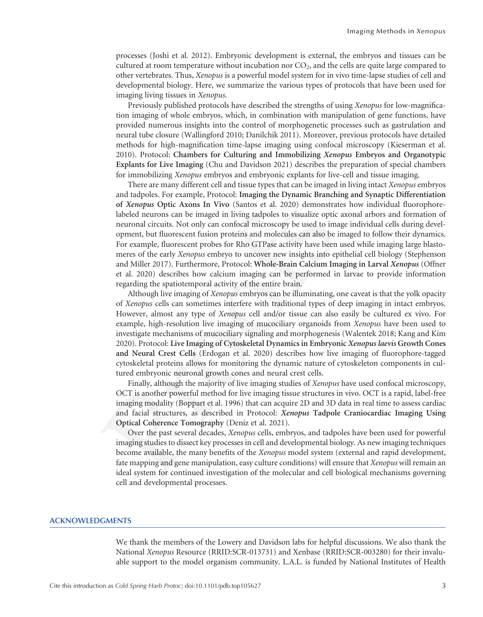processes (Joshi et al. 2012). Embryonic development is external, the embryos and tissues can be cultured at room temperature without incubation nor  $CO<sub>2</sub>$ , and the cells are quite large compared to other vertebrates. Thus, Xenopus is a powerful model system for in vivo time-lapse studies of cell and developmental biology. Here, we summarize the various types of protocols that have been used for imaging living tissues in Xenopus.

Previously published protocols have described the strengths of using Xenopus for low-magnification imaging of whole embryos, which, in combination with manipulation of gene functions, have provided numerous insights into the control of morphogenetic processes such as gastrulation and neural tube closure (Wallingford 2010; Danilchik 2011). Moreover, previous protocols have detailed methods for high-magnification time-lapse imaging using confocal microscopy (Kieserman et al. 2010). Protocol: Chambers for Culturing and Immobilizing Xenopus Embryos and Organotypic Explants for Live Imaging (Chu and Davidson 2021) describes the preparation of special chambers for immobilizing Xenopus embryos and embryonic explants for live-cell and tissue imaging.

There are many different cell and tissue types that can be imaged in living intact Xenopus embryos and tadpoles. For example, Protocol: Imaging the Dynamic Branching and Synaptic Differentiation of Xenopus Optic Axons In Vivo (Santos et al. 2020) demonstrates how individual fluorophorelabeled neurons can be imaged in living tadpoles to visualize optic axonal arbors and formation of neuronal circuits. Not only can confocal microscopy be used to image individual cells during development, but fluorescent fusion proteins and molecules can also be imaged to follow their dynamics. For example, fluorescent probes for Rho GTPase activity have been used while imaging large blastomeres of the early *Xenopus* embryo to uncover new insights into epithelial cell biology (Stephenson and Miller 2017). Furthermore, Protocol: Whole-Brain Calcium Imaging in Larval Xenopus (Offner et al. 2020) describes how calcium imaging can be performed in larvae to provide information regarding the spatiotemporal activity of the entire brain.

Although live imaging of Xenopus embryos can be illuminating, one caveat is that the yolk opacity of Xenopus cells can sometimes interfere with traditional types of deep imaging in intact embryos. However, almost any type of Xenopus cell and/or tissue can also easily be cultured ex vivo. For example, high-resolution live imaging of mucociliary organoids from Xenopus have been used to investigate mechanisms of mucociliary signaling and morphogenesis (Walentek 2018; Kang and Kim 2020). Protocol: Live Imaging of Cytoskeletal Dynamics in Embryonic Xenopus laevis Growth Cones and Neural Crest Cells (Erdogan et al. 2020) describes how live imaging of fluorophore-tagged cytoskeletal proteins allows for monitoring the dynamic nature of cytoskeleton components in cultured embryonic neuronal growth cones and neural crest cells.

Finally, although the majority of live imaging studies of *Xenopus* have used confocal microscopy, OCT is another powerful method for live imaging tissue structures in vivo. OCT is a rapid, label-free imaging modality (Boppart et al. 1996) that can acquire 2D and 3D data in real time to assess cardiac and facial structures, as described in Protocol: Xenopus Tadpole Craniocardiac Imaging Using Optical Coherence Tomography (Deniz et al. 2021).

Over the past several decades, Xenopus cells, embryos, and tadpoles have been used for powerful imaging studies to dissect key processes in cell and developmental biology. As new imaging techniques become available, the many benefits of the Xenopus model system (external and rapid development, fate mapping and gene manipulation, easy culture conditions) will ensure that Xenopus will remain an ideal system for continued investigation of the molecular and cell biological mechanisms governing cell and developmental processes.

### ACKNOWLEDGMENTS

We thank the members of the Lowery and Davidson labs for helpful discussions. We also thank the National Xenopus Resource (RRID:SCR-013731) and Xenbase (RRID:SCR-003280) for their invaluable support to the model organism community. L.A.L. is funded by National Institutes of Health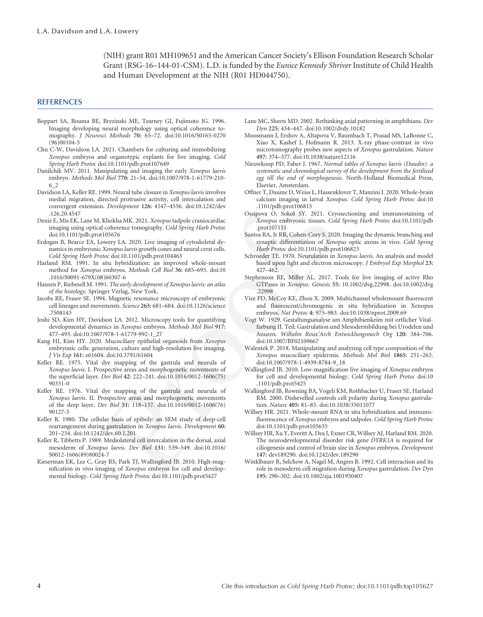(NIH) grant R01 MH109651 and the American Cancer Society's Ellison Foundation Research Scholar Grant (RSG-16–144-01-CSM). L.D. is funded by the Eunice Kennedy Shriver Institute of Child Health and Human Development at the NIH (R01 HD044750).

#### **REFERENCES**

- Boppart SA, Bouma BE, Brezinski ME, Tearney GJ, Fujimoto JG. 1996. Imaging developing neural morphology using optical coherence tomography. J Neurosci Methods 70: 65–72. doi:10.1016/S0165-0270 (96)00104-5
- Chu C-W, Davidson LA. 2021. Chambers for culturing and immobilizing Xenopus embryos and organotypic explants for live imaging. Cold Spring Harb Protoc doi:10.1101/pdb.prot107649
- Danilchik MV. 2011. Manipulating and imaging the early Xenopus laevis embryo. Methods Mol Biol 770: 21–54. doi:10.1007/978-1-61779-210- 6\_2
- Davidson LA, Keller RE. 1999. Neural tube closure in Xenopus laevis involves medial migration, directed protrusive activity, cell intercalation and convergent extension. Development 126: 4547–4556. doi:10.1242/dev .126.20.4547
- Deniz E, Mis EK, Lane M, Khokha MK. 2021. Xenopus tadpole craniocardiac imaging using optical coherence tomography. Cold Spring Harb Protoc doi:10.1101/pdb.prot105676
- Erdogan B, Bearce EA, Lowery LA. 2020. Live imaging of cytoskeletal dynamics in embryonic Xenopus laevis growth cones and neural crest cells. Cold Spring Harb Protoc doi:10.1101/pdb.prot104463
- Harland RM. 1991. In situ hybridization: an improved whole-mount method for Xenopus embryos. Methods Cell Biol 36: 685–695. doi:10 .1016/S0091-679X(08)60307-6
- Hausen P, Riebesell M. 1991. The early development of Xenopus laevis: an atlas of the histology. Springer Verlag, New York.
- Jacobs RE, Fraser SE. 1994. Magnetic resonance microscopy of embryonic cell lineages and movements. Science 263: 681–684. doi:10.1126/science .7508143
- Joshi SD, Kim HY, Davidson LA. 2012. Microscopy tools for quantifying developmental dynamics in Xenopus embryos. Methods Mol Biol 917: 477–493. doi:10.1007/978-1-61779-992-1\_27
- Kang HJ, Kim HY. 2020. Mucociliary epithelial organoids from Xenopus embryonic cells: generation, culture and high-resolution live imaging. J Vis Exp 161: e61604. doi:10.3791/61604
- Keller RE. 1975. Vital dye mapping of the gastrula and neurula of Xenopus laevis. I. Prospective areas and morphogenetic movements of the superficial layer. Dev Biol 42: 222–241. doi:10.1016/0012-1606(75) 90331-0
- Keller RE. 1976. Vital dye mapping of the gastrula and neurula of Xenopus laevis. II. Prospective areas and morphogenetic movements of the deep layer. Dev Biol 51: 118–137. doi:10.1016/0012-1606(76) 90127-5
- Keller R. 1980. The cellular basis of epiboly: an SEM study of deep-cell rearrangement during gastrulation in Xenopus laevis. Development 60: 201–234. doi:10.1242/dev.60.1.201
- Keller R, Tibbetts P. 1989. Mediolateral cell intercalation in the dorsal, axial mesoderm of Xenopus laevis. Dev Biol 131: 539–549. doi:10.1016/ S0012-1606(89)80024-7
- Kieserman EK, Lee C, Gray RS, Park TJ, Wallingford JB. 2010. High-magnification in vivo imaging of Xenopus embryos for cell and developmental biology. Cold Spring Harb Protoc doi:10.1101/pdb.prot5427
- Lane MC, Sheets MD. 2002. Rethinking axial patterning in amphibians. Dev Dyn 225: 434–447. doi:10.1002/dvdy.10182
- Moosmann J, Ershov A, Altapova V, Baumbach T, Prasad MS, LaBonne C, Xiao X, Kashef J, Hofmann R. 2013. X-ray phase-contrast in vivo microtomography probes new aspects of Xenopus gastrulation. Nature 497: 374–377. doi:10.1038/nature12116
- Nieuwkoop PD, Faber J. 1967. Normal tables of Xenopus laevis (Daudin): a systematic and chronological survey of the development from the fertilized egg till the end of morphogenesis. North-Holland Biomedical Press, Elsevier, Amsterdam.
- Offner T, Daume D, Weiss L, Hassenklover T, Manzini I. 2020. Whole-brain calcium imaging in larval Xenopus. Cold Spring Harb Protoc doi:10 .1101/pdb.prot106815
- Ossipova O, Sokol SY. 2021. Cryosectioning and immunostaining of Xenopus embryonic tissues. Cold Spring Harb Protoc doi:10.1101/pdb .prot107151
- Santos RA, Jr RR, Cohen-Cory S. 2020. Imaging the dynamic branching and synaptic differentiation of Xenopus optic axons in vivo. Cold Spring Harb Protoc doi:10.1101/pdb.prot106823
- Schroeder TE. 1970. Neurulation in Xenopus laevis. An analysis and model based upon light and electron microscopy. J Embryol Exp Morphol 23: 427–462.
- Stephenson RE, Miller AL. 2017. Tools for live imaging of active Rho GTPases in Xenopus. Genesis 55: 10.1002/dvg.22998. doi:10.1002/dvg .22998
- Vize PD, McCoy KE, Zhou X. 2009. Multichannel wholemount fluorescent and fluorescent/chromogenic in situ hybridization in Xenopus embryos. Nat Protoc 4: 975–983. doi:10.1038/nprot.2009.69
- Vogt W. 1929. Gestaltungsanalyse am Amphibienkeim mit ortlicher Vitalfarbung II. Teil: Gastrulation und Mesodermbildung bei Urodelen und Anuren. Wilhelm Roux'Arch Entwicklungsmech Org 120: 384–706. doi:10.1007/BF02109667
- Walentek P. 2018. Manipulating and analyzing cell type composition of the Xenopus mucociliary epidermis. Methods Mol Biol 1865: 251–263. doi:10.1007/978-1-4939-8784-9\_18
- Wallingford JB. 2010. Low-magnification live imaging of Xenopus embryos for cell and developmental biology. Cold Spring Harb Protoc doi:10 .1101/pdb.prot5425
- Wallingford JB, Rowning BA, Vogeli KM, Rothbacher U, Fraser SE, Harland RM. 2000. Dishevelled controls cell polarity during Xenopus gastrulation. Nature 405: 81–85. doi:10.1038/35011077
- Willsey HR. 2021. Whole-mount RNA in situ hybridization and immunofluorescence of Xenopus embryos and tadpoles. Cold Spring Harb Protoc doi:10.1101/pdb.prot105635
- Willsey HR, Xu Y, Everitt A, Dea J, Exner CR, Willsey AJ, Harland RM. 2020. The neurodevelopmental disorder risk gene DYRK1A is required for ciliogenesis and control of brain size in Xenopus embryos. Development 147: dev189290. doi:10.1242/dev.189290
- Winklbauer R, Selchow A, Nagel M, Angres B. 1992. Cell interaction and its role in mesoderm cell migration during Xenopus gastrulation. Dev Dyn 195: 290–302. doi:10.1002/aja.1001950407